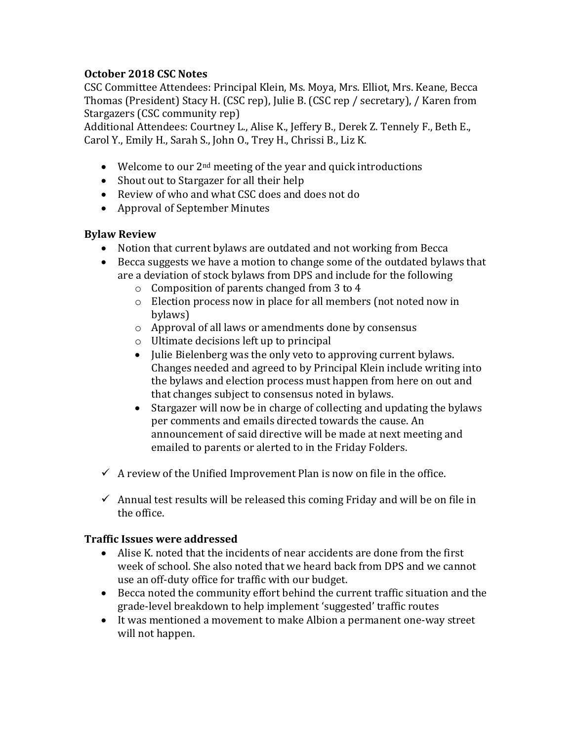## **October 2018 CSC Notes**

CSC Committee Attendees: Principal Klein, Ms. Moya, Mrs. Elliot, Mrs. Keane, Becca Thomas (President) Stacy H. (CSC rep), Julie B. (CSC rep / secretary), / Karen from Stargazers (CSC community rep)

Additional Attendees: Courtney L., Alise K., Jeffery B., Derek Z. Tennely F., Beth E., Carol Y., Emily H., Sarah S., John O., Trey H., Chrissi B., Liz K.

- Welcome to our  $2<sup>nd</sup>$  meeting of the year and quick introductions
- Shout out to Stargazer for all their help
- Review of who and what CSC does and does not do
- Approval of September Minutes

### **Bylaw Review**

- Notion that current bylaws are outdated and not working from Becca
- Becca suggests we have a motion to change some of the outdated bylaws that are a deviation of stock bylaws from DPS and include for the following
	- o Composition of parents changed from 3 to 4
	- o Election process now in place for all members (not noted now in bylaws)
	- o Approval of all laws or amendments done by consensus
	- o Ultimate decisions left up to principal
	- Julie Bielenberg was the only veto to approving current bylaws. Changes needed and agreed to by Principal Klein include writing into the bylaws and election process must happen from here on out and that changes subject to consensus noted in bylaws.
	- Stargazer will now be in charge of collecting and updating the bylaws per comments and emails directed towards the cause. An announcement of said directive will be made at next meeting and emailed to parents or alerted to in the Friday Folders.
- $\checkmark$  A review of the Unified Improvement Plan is now on file in the office.
- $\checkmark$  Annual test results will be released this coming Friday and will be on file in the office.

### **Traffic Issues were addressed**

- Alise K. noted that the incidents of near accidents are done from the first week of school. She also noted that we heard back from DPS and we cannot use an off-duty office for traffic with our budget.
- Becca noted the community effort behind the current traffic situation and the grade-level breakdown to help implement 'suggested' traffic routes
- It was mentioned a movement to make Albion a permanent one-way street will not happen.